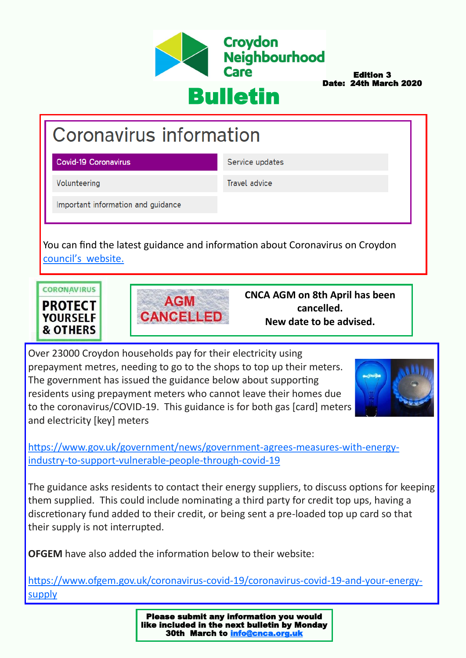

Edition 3 Date: 24th March 2020

# Bulletin

# **Coronavirus information**

**Covid-19 Coronavirus** 

Service updates

Volunteering

**Travel advice** 

Important information and quidance

You can find the latest guidance and information about Coronavirus on Croydon council'[s website.](https://www.croydon.gov.uk/healthsocial/phealth/coronavirus-information/covid-19-coronavirus)





**CNCA AGM on 8th April has been cancelled. New date to be advised.**

Over 23000 Croydon households pay for their electricity using prepayment metres, needing to go to the shops to top up their meters. The government has issued the guidance below about supporting residents using prepayment meters who cannot leave their homes due to the coronavirus/COVID-19. This guidance is for both gas [card] meters and electricity [key] meters



[https://www.gov.uk/government/news/government](https://www.gov.uk/government/news/government-agrees-measures-with-energy-industry-to-support-vulnerable-people-through-covid-19)-agrees-measures-with-energyindustry-to-support-[vulnerable](https://www.gov.uk/government/news/government-agrees-measures-with-energy-industry-to-support-vulnerable-people-through-covid-19)-people-through-covid-19

The guidance asks residents to contact their energy suppliers, to discuss options for keeping them supplied. This could include nominating a third party for credit top ups, having a discretionary fund added to their credit, or being sent a pre-loaded top up card so that their supply is not interrupted.

**OFGEM** have also added the information below to their website:

[https://www.ofgem.gov.uk/coronavirus](https://www.ofgem.gov.uk/coronavirus-covid-19/coronavirus-covid-19-and-your-energy-supply)-covid-19/coronavirus-covid-19-and-your-energy[supply](https://www.ofgem.gov.uk/coronavirus-covid-19/coronavirus-covid-19-and-your-energy-supply)

> Please submit any information you would like included in the next bulletin by Monday 30th March to **info@cnca.org.uk**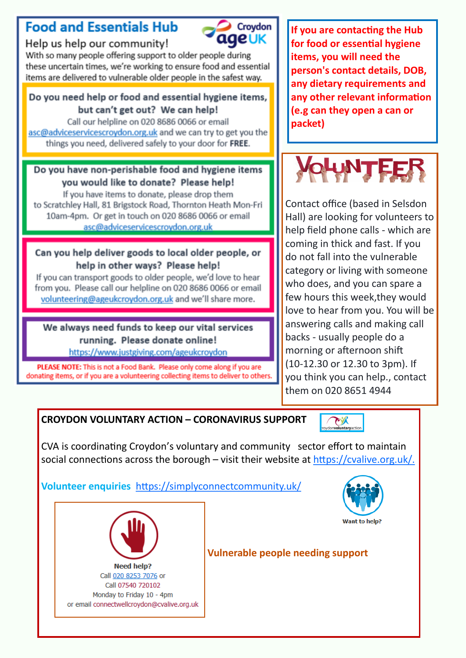# **Food and Essentials Hub**



Help us help our community!

With so many people offering support to older people during these uncertain times, we're working to ensure food and essential items are delivered to vulnerable older people in the safest way.

### Do you need help or food and essential hygiene items, but can't get out? We can help!

Call our helpline on 020 8686 0066 or email asc@adviceservicescroydon.org.uk and we can try to get you the things you need, delivered safely to your door for FREE.

### Do you have non-perishable food and hygiene items you would like to donate? Please help!

If you have items to donate, please drop them to Scratchley Hall, 81 Brigstock Road, Thornton Heath Mon-Fri 10am-4pm. Or get in touch on 020 8686 0066 or email asc@adviceservicescrovdon.org.uk

#### Can you help deliver goods to local older people, or help in other ways? Please help!

If you can transport goods to older people, we'd love to hear from you. Please call our helpline on 020 8686 0066 or email volunteering@ageukcroydon.org.uk and we'll share more.

#### We always need funds to keep our vital services running. Please donate online! https://www.justgiving.com/ageukcroydon

PLEASE NOTE: This is not a Food Bank. Please only come along if you are donating items, or if you are a volunteering collecting items to deliver to others. **If you are contacting the Hub for food or essential hygiene items, you will need the person's contact details, DOB, any dietary requirements and any other relevant information (e.g can they open a can or packet)**



Contact office (based in Selsdon Hall) are looking for volunteers to help field phone calls - which are coming in thick and fast. If you do not fall into the vulnerable category or living with someone who does, and you can spare a few hours this week,they would love to hear from you. You will be answering calls and making call backs - usually people do a morning or afternoon shift (10-12.30 or 12.30 to 3pm). If you think you can help., contact them on 020 8651 4944

## **CROYDON VOLUNTARY ACTION – CORONAVIRUS SUPPORT**



CVA is coordinating Croydon's voluntary and community sector effort to maintain social connections across the borough – visit their website at [https://cvalive.org.uk/.](https://cvalive.org.uk/)

## **Volunteer enquiries** <https://simplyconnectcommunity.uk/>



Want to help?



## **Vulnerable people needing support**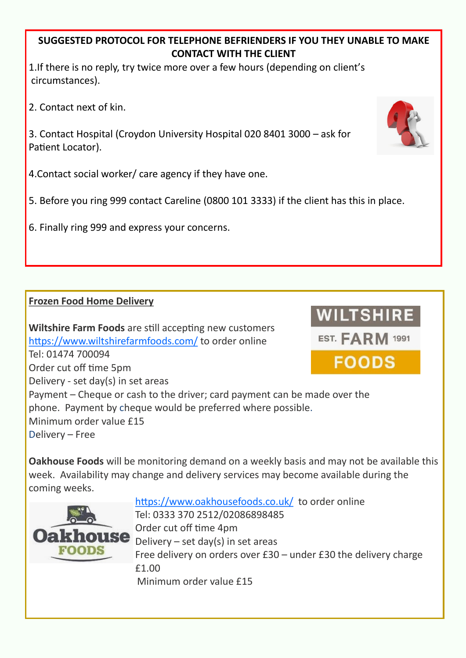### **SUGGESTED PROTOCOL FOR TELEPHONE BEFRIENDERS IF YOU THEY UNABLE TO MAKE CONTACT WITH THE CLIENT**

1.If there is no reply, try twice more over a few hours (depending on client's circumstances).

2. Contact next of kin.

3. Contact Hospital (Croydon University Hospital 020 8401 3000 – ask for Patient Locator).

4.Contact social worker/ care agency if they have one.

5. Before you ring 999 contact Careline (0800 101 3333) if the client has this in place.

6. Finally ring 999 and express your concerns.

## **Frozen Food Home Delivery**

**Wiltshire Farm Foods** are still accepting new customers <https://www.wiltshirefarmfoods.com/> to order online Tel: 01474 700094 Order cut off time 5pm Delivery - set day(s) in set areas Payment – Cheque or cash to the driver; card payment can be made over the phone. Payment by cheque would be preferred where possible. Minimum order value £15 Delivery – Free

**Oakhouse Foods** will be monitoring demand on a weekly basis and may not be available this week. Availability may change and delivery services may become available during the coming weeks.



<https://www.oakhousefoods.co.uk/> to order online Tel: 0333 370 2512/02086898485 Order cut off time 4pm Delivery – set day(s) in set areas Free delivery on orders over £30 – under £30 the delivery charge £1.00 Minimum order value £15



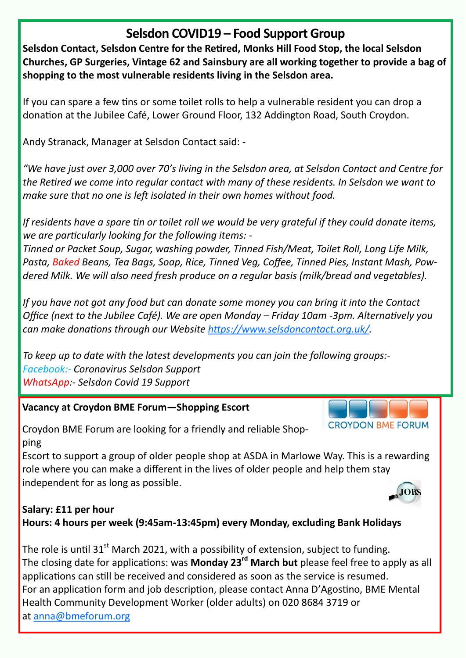## **Selsdon COVID19 – Food Support Group**

**Selsdon Contact, Selsdon Centre for the Retired, Monks Hill Food Stop, the local Selsdon Churches, GP Surgeries, Vintage 62 and Sainsbury are all working together to provide a bag of shopping to the most vulnerable residents living in the Selsdon area.**

If you can spare a few tins or some toilet rolls to help a vulnerable resident you can drop a donation at the Jubilee Café, Lower Ground Floor, 132 Addington Road, South Croydon.

Andy Stranack, Manager at Selsdon Contact said: -

*"We have just over 3,000 over 70's living in the Selsdon area, at Selsdon Contact and Centre for the Retired we come into regular contact with many of these residents. In Selsdon we want to make sure that no one is left isolated in their own homes without food.*

*If residents have a spare tin or toilet roll we would be very grateful if they could donate items, we are particularly looking for the following items: -*

*Tinned or Packet Soup, Sugar, washing powder, Tinned Fish/Meat, Toilet Roll, Long Life Milk, Pasta, Baked Beans, Tea Bags, Soap, Rice, Tinned Veg, Coffee, Tinned Pies, Instant Mash, Powdered Milk. We will also need fresh produce on a regular basis (milk/bread and vegetables).*

*If you have not got any food but can donate some money you can bring it into the Contact Office (next to the Jubilee Café). We are open Monday – Friday 10am -3pm. Alternatively you can make donations through our Website [https://www.selsdoncontact.org.uk/.](https://www.selsdoncontact.org.uk/)*

*To keep up to date with the latest developments you can join the following groups:- Facebook:- Coronavirus Selsdon Support WhatsApp:- Selsdon Covid 19 Support*

#### **Vacancy at Croydon BME Forum—Shopping Escort**

Croydon BME Forum are looking for a friendly and reliable Shopping

Escort to support a group of older people shop at ASDA in Marlowe Way. This is a rewarding role where you can make a different in the lives of older people and help them stay independent for as long as possible.

#### **Salary: £11 per hour Hours: 4 hours per week (9:45am-13:45pm) every Monday, excluding Bank Holidays**

The role is until 31 $^{\text{st}}$  March 2021, with a possibility of extension, subject to funding. The closing date for applications: was **Monday 23rd March but** please feel free to apply as all applications can still be received and considered as soon as the service is resumed. For an application form and job description, please contact Anna D'Agostino, BME Mental Health Community Development Worker (older adults) on 020 8684 3719 or at [anna@bmeforum.org](mailto:anna@bmeforum.org)



**CROYDON BME FORUM**